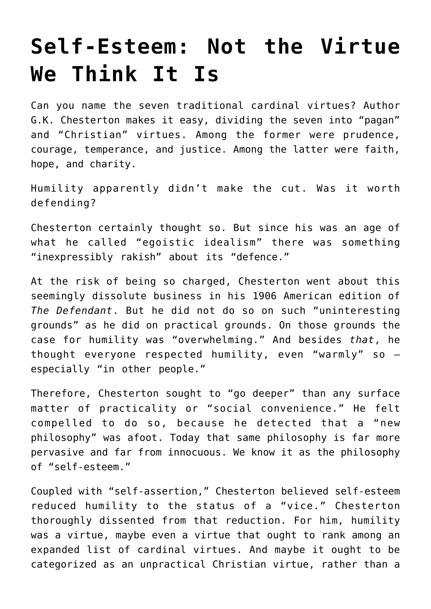## **[Self-Esteem: Not the Virtue](https://intellectualtakeout.org/2019/08/self-esteem-not-the-virtue-we-think-it-is/) [We Think It Is](https://intellectualtakeout.org/2019/08/self-esteem-not-the-virtue-we-think-it-is/)**

Can you name the seven traditional cardinal virtues? Author G.K. Chesterton makes it easy, dividing the seven into "pagan" and "Christian" virtues. Among the former were prudence, courage, temperance, and justice. Among the latter were faith, hope, and charity.

Humility apparently didn't make the cut. Was it worth defending?

Chesterton certainly thought so. But since his was an age of what he called "egoistic idealism" there was something "inexpressibly rakish" about its "defence."

At the risk of being so charged, Chesterton went about this seemingly dissolute business in his 1906 American edition of *The Defendant*. But he did not do so on such "uninteresting grounds" as he did on practical grounds. On those grounds the case for humility was "overwhelming." And besides *that*, he thought everyone respected humility, even "warmly" so – especially "in other people."

Therefore, Chesterton sought to "go deeper" than any surface matter of practicality or "social convenience." He felt compelled to do so, because he detected that a "new philosophy" was afoot. Today that same philosophy is far more pervasive and far from innocuous. We know it as the philosophy of "self-esteem."

Coupled with "self-assertion," Chesterton believed self-esteem reduced humility to the status of a "vice." Chesterton thoroughly dissented from that reduction. For him, humility was a virtue, maybe even a virtue that ought to rank among an expanded list of cardinal virtues. And maybe it ought to be categorized as an unpractical Christian virtue, rather than a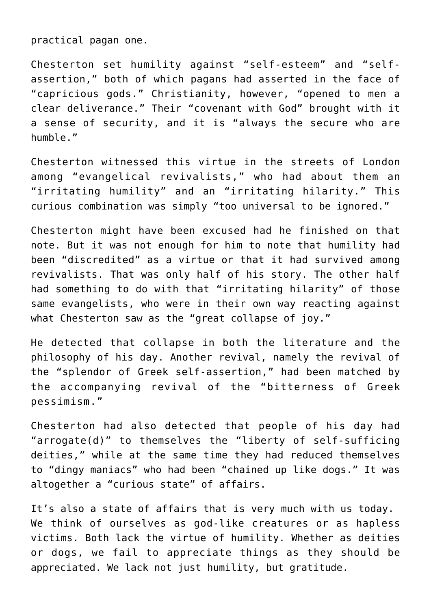practical pagan one.

Chesterton set humility against "self-esteem" and "selfassertion," both of which pagans had asserted in the face of "capricious gods." Christianity, however, "opened to men a clear deliverance." Their "covenant with God" brought with it a sense of security, and it is "always the secure who are humble."

Chesterton witnessed this virtue in the streets of London among "evangelical revivalists," who had about them an "irritating humility" and an "irritating hilarity." This curious combination was simply "too universal to be ignored."

Chesterton might have been excused had he finished on that note. But it was not enough for him to note that humility had been "discredited" as a virtue or that it had survived among revivalists. That was only half of his story. The other half had something to do with that "irritating hilarity" of those same evangelists, who were in their own way reacting against what Chesterton saw as the "great collapse of joy."

He detected that collapse in both the literature and the philosophy of his day. Another revival, namely the revival of the "splendor of Greek self-assertion," had been matched by the accompanying revival of the "bitterness of Greek pessimism."

Chesterton had also detected that people of his day had "arrogate(d)" to themselves the "liberty of self-sufficing deities," while at the same time they had reduced themselves to "dingy maniacs" who had been "chained up like dogs." It was altogether a "curious state" of affairs.

It's also a state of affairs that is very much with us today. We think of ourselves as god-like creatures or as hapless victims. Both lack the virtue of humility. Whether as deities or dogs, we fail to appreciate things as they should be appreciated. We lack not just humility, but gratitude.